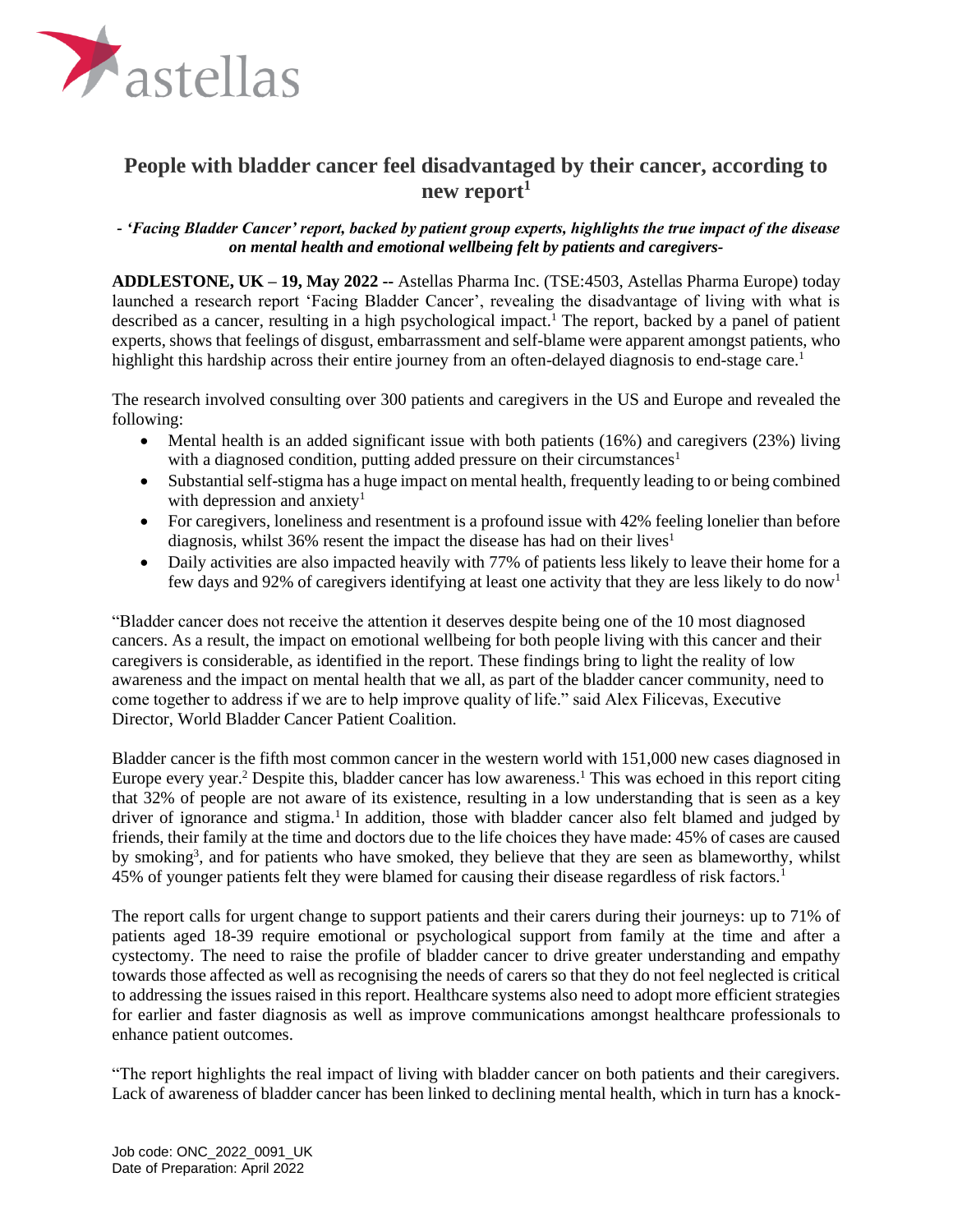

# **People with bladder cancer feel disadvantaged by their cancer, according to new report[1](#page-0-0)**

## *- 'Facing Bladder Cancer' report, backed by patient group experts, highlights the true impact of the disease on mental health and emotional wellbeing felt by patients and caregivers-*

**ADDLESTONE, UK – 19, May 2022 --** Astellas Pharma Inc. (TSE:4503, Astellas Pharma Europe) today launched a research report 'Facing Bladder Cancer', revealing the disadvantage of living with what is described as a cancer, resulting in a high psychological impact.<sup>1</sup> The report, backed by a panel of patient experts, shows that feelings of disgust, embarrassment and self-blame were apparent amongst patients, who highlight this hardship across their entire journey from an often-delayed diagnosis to end-stage care.<sup>1</sup>

The research involved consulting over 300 patients and caregivers in the US and Europe and revealed the following:

- <span id="page-0-0"></span>• Mental health is an added significant issue with both patients  $(16%)$  and caregivers  $(23%)$  living with a diagnosed condition, putting added pressure on their circumstances<sup>1</sup>
- Substantial self-stigma has a huge impact on mental health, frequently leading to or being combined with depression and anxiety<sup>[1](#page-0-0)</sup>
- For caregivers, loneliness and resentment is a profound issue with 42% feeling lonelier than before diagnosis, whilst 36% resent the impact the disease has had on their lives<sup>1</sup>
- Daily activities are also impacted heavily with 77% of patients less likely to leave their home for a few days and 92% of caregivers identifying at least one activity that they are less likely to do now<sup>1</sup>

"Bladder cancer does not receive the attention it deserves despite being one of the 10 most diagnosed cancers. As a result, the impact on emotional wellbeing for both people living with this cancer and their caregivers is considerable, as identified in the report. These findings bring to light the reality of low awareness and the impact on mental health that we all, as part of the bladder cancer community, need to come together to address if we are to help improve quality of life." said Alex Filicevas, Executive Director, World Bladder Cancer Patient Coalition.

Bladder cancer is the fifth most common cancer in the western world with 151,000 new cases diagnosed in Europe every year[.](#page-0-0)<sup>2</sup> Despite this, bladder cancer has low awareness.<sup>1</sup> This was echoed in this report citing that 32% of people are not aware of its existence, resulting in a low understanding that is seen as a key driver of ignorance and stigma.<sup>1</sup> In addition, those with bladder cancer also felt blamed and judged by friends, their family at the time and doctors due to the life choices they have made: 45% of cases are caused by smoking<sup>3</sup>, and for patients who have smoked, they believe that they are seen as blameworthy, whilst 45% of younger patients felt they were blamed for causing their disease regardless of risk factors[.](#page-0-0)<sup>1</sup>

The report calls for urgent change to support patients and their carers during their journeys: up to 71% of patients aged 18-39 require emotional or psychological support from family at the time and after a cystectomy. The need to raise the profile of bladder cancer to drive greater understanding and empathy towards those affected as well as recognising the needs of carers so that they do not feel neglected is critical to addressing the issues raised in this report. Healthcare systems also need to adopt more efficient strategies for earlier and faster diagnosis as well as improve communications amongst healthcare professionals to enhance patient outcomes.

"The report highlights the real impact of living with bladder cancer on both patients and their caregivers. Lack of awareness of bladder cancer has been linked to declining mental health, which in turn has a knock-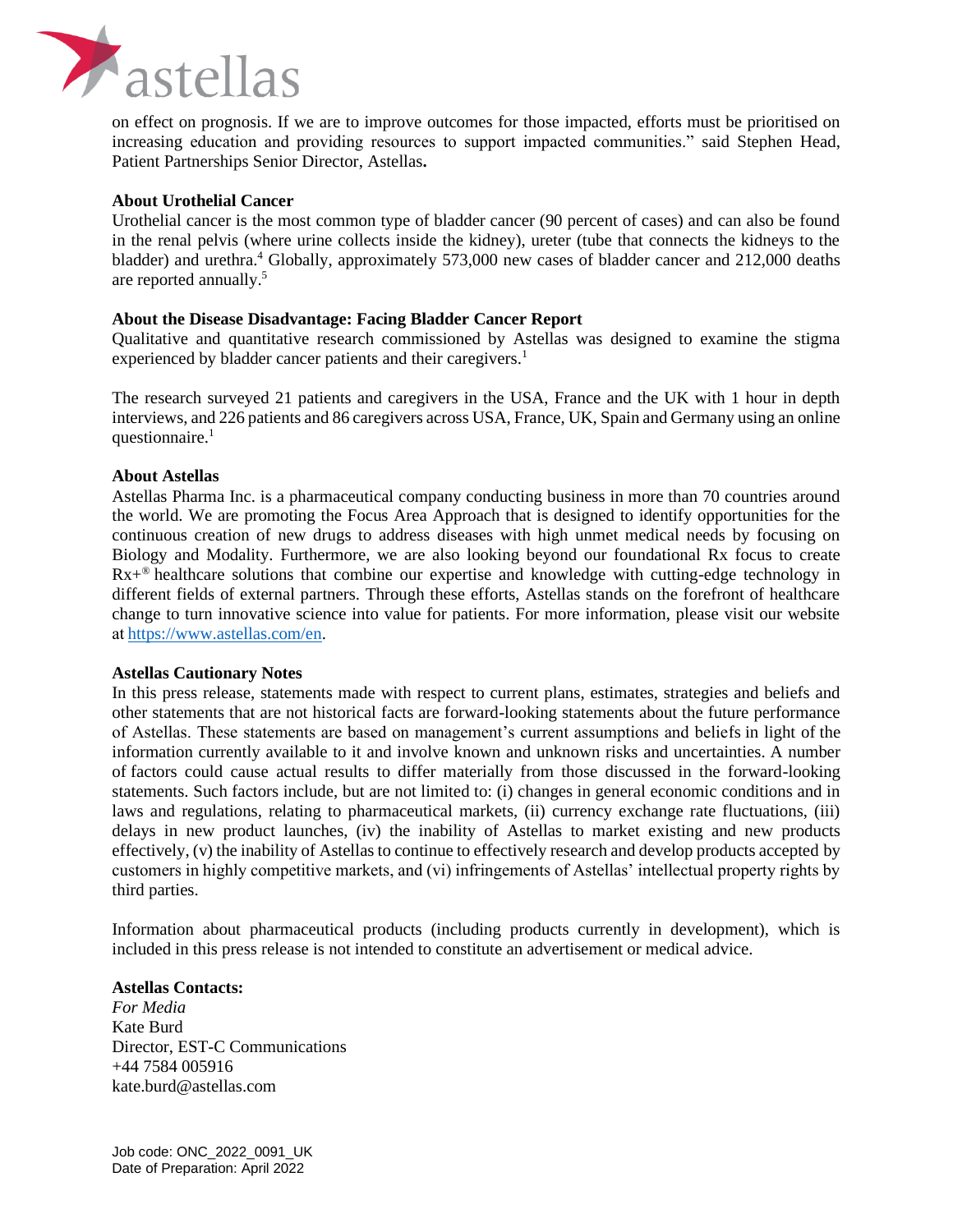

on effect on prognosis. If we are to improve outcomes for those impacted, efforts must be prioritised on increasing education and providing resources to support impacted communities." said Stephen Head, Patient Partnerships Senior Director, Astellas**.**

### **About Urothelial Cancer**

Urothelial cancer is the most common type of bladder cancer (90 percent of cases) and can also be found in the renal pelvis (where urine collects inside the kidney), ureter (tube that connects the kidneys to the bladder) and urethra.<sup>4</sup> Globally, approximately 573,000 new cases of bladder cancer and 212,000 deaths are reported annually. 5

### **About the Disease Disadvantage: Facing Bladder Cancer Report**

Qualitative and quantitative research commissioned by Astellas was designed to examine the stigma experienced by bladder cancer patients and their caregivers.<sup>1</sup>

The research surveyed 21 patients and caregivers in the USA, France and the UK with 1 hour in depth interviews, and 226 patients and 86 caregivers across USA, France, UK, Spain and Germany using an online questionnaire.<sup>1</sup>

### **About Astellas**

Astellas Pharma Inc. is a pharmaceutical company conducting business in more than 70 countries around the world. We are promoting the Focus Area Approach that is designed to identify opportunities for the continuous creation of new drugs to address diseases with high unmet medical needs by focusing on Biology and Modality. Furthermore, we are also looking beyond our foundational Rx focus to create  $Rx+^{\circledR}$  healthcare solutions that combine our expertise and knowledge with cutting-edge technology in different fields of external partners. Through these efforts, Astellas stands on the forefront of healthcare change to turn innovative science into value for patients. For more information, please visit our website at[https://www.astellas.com/en.](https://www.astellas.com/en)

#### **Astellas Cautionary Notes**

In this press release, statements made with respect to current plans, estimates, strategies and beliefs and other statements that are not historical facts are forward-looking statements about the future performance of Astellas. These statements are based on management's current assumptions and beliefs in light of the information currently available to it and involve known and unknown risks and uncertainties. A number of factors could cause actual results to differ materially from those discussed in the forward-looking statements. Such factors include, but are not limited to: (i) changes in general economic conditions and in laws and regulations, relating to pharmaceutical markets, (ii) currency exchange rate fluctuations, (iii) delays in new product launches, (iv) the inability of Astellas to market existing and new products effectively, (v) the inability of Astellas to continue to effectively research and develop products accepted by customers in highly competitive markets, and (vi) infringements of Astellas' intellectual property rights by third parties.

Information about pharmaceutical products (including products currently in development), which is included in this press release is not intended to constitute an advertisement or medical advice.

### **Astellas Contacts:**

*For Media* Kate Burd Director, EST-C Communications +44 7584 005916 [kate.burd@astellas.com](mailto:kate.burd@astellas.com)

Job code: ONC\_2022\_0091\_UK Date of Preparation: April 2022